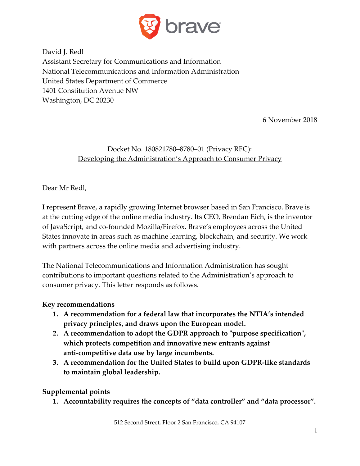

David J. Redl Assistant Secretary for Communications and Information National Telecommunications and Information Administration United States Department of Commerce 1401 Constitution Avenue NW Washington, DC 20230

6 November 2018

## Docket No. 180821780–8780–01 (Privacy RFC): Developing the Administration's Approach to Consumer Privacy

Dear Mr Redl,

I represent Brave, a rapidly growing Internet browser based in San Francisco. Brave is at the cutting edge of the online media industry. Its CEO, Brendan Eich, is the inventor of JavaScript, and co-founded Mozilla/Firefox. Brave's employees across the United States innovate in areas such as machine learning, blockchain, and security. We work with partners across the online media and advertising industry.

The National Telecommunications and Information Administration has sought contributions to important questions related to the Administration's approach to consumer privacy. This letter responds as follows.

### **Key recommendations**

- **1. A recommendation for a federal law that incorporates the NTIA's intended privacy principles, and draws upon the European model.**
- **2. A recommendation to adopt the GDPR approach to "purpose specification", which protects competition and innovative new entrants against anti-competitive data use by large incumbents.**
- **3. A recommendation for the United States to build upon GDPR-like standards to maintain global leadership.**

### **Supplemental points**

**1. Accountability requires the concepts of "data controller" and "data processor".**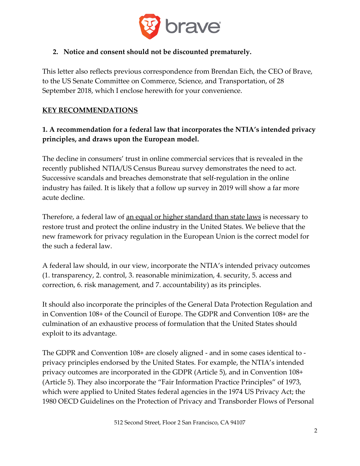

## **2. Notice and consent should not be discounted prematurely.**

This letter also reflects previous correspondence from Brendan Eich, the CEO of Brave, to the US Senate Committee on Commerce, Science, and Transportation, of 28 September 2018, which I enclose herewith for your convenience.

### **KEY RECOMMENDATIONS**

## **1. A recommendation for a federal law that incorporates the NTIA's intended privacy principles, and draws upon the European model.**

The decline in consumers' trust in online commercial services that is revealed in the recently published NTIA/US Census Bureau survey demonstrates the need to act. Successive scandals and breaches demonstrate that self-regulation in the online industry has failed. It is likely that a follow up survey in 2019 will show a far more acute decline.

Therefore, a federal law of <u>an equal or higher standard than state laws</u> is necessary to restore trust and protect the online industry in the United States. We believe that the new framework for privacy regulation in the European Union is the correct model for the such a federal law.

A federal law should, in our view, incorporate the NTIA's intended privacy outcomes (1. transparency, 2. control, 3. reasonable minimization, 4. security, 5. access and correction, 6. risk management, and 7. accountability) as its principles.

It should also incorporate the principles of the General Data Protection Regulation and in Convention 108+ of the Council of Europe. The GDPR and Convention 108+ are the culmination of an exhaustive process of formulation that the United States should exploit to its advantage.

The GDPR and Convention 108+ are closely aligned - and in some cases identical to privacy principles endorsed by the United States. For example, the NTIA's intended privacy outcomes are incorporated in the GDPR (Article 5), and in Convention 108+ (Article 5). They also incorporate the "Fair Information Practice Principles" of 1973, which were applied to United States federal agencies in the 1974 US Privacy Act; the 1980 OECD Guidelines on the Protection of Privacy and Transborder Flows of Personal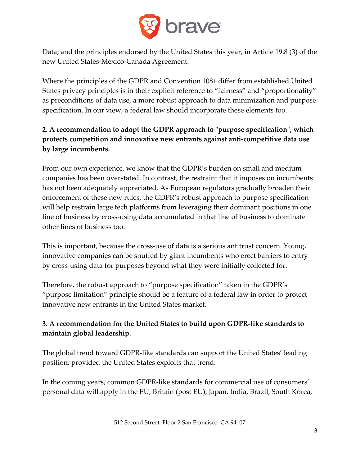

Data; and the principles endorsed by the United States this year, in Article 19.8 (3) of the new United States-Mexico-Canada Agreement.

Where the principles of the GDPR and Convention 108+ differ from established United States privacy principles is in their explicit reference to "fairness" and "proportionality" as preconditions of data use, a more robust approach to data minimization and purpose specification. In our view, a federal law should incorporate these elements too.

# **2. A recommendation to adopt the GDPR approach to "purpose specification", which protects competition and innovative new entrants against anti-competitive data use by large incumbents.**

From our own experience, we know that the GDPR's burden on small and medium companies has been overstated. In contrast, the restraint that it imposes on incumbents has not been adequately appreciated. As European regulators gradually broaden their enforcement of these new rules, the GDPR's robust approach to purpose specification will help restrain large tech platforms from leveraging their dominant positions in one line of business by cross-using data accumulated in that line of business to dominate other lines of business too.

This is important, because the cross-use of data is a serious antitrust concern. Young, innovative companies can be snuffed by giant incumbents who erect barriers to entry by cross-using data for purposes beyond what they were initially collected for.

Therefore, the robust approach to "purpose specification" taken in the GDPR's "purpose limitation" principle should be a feature of a federal law in order to protect innovative new entrants in the United States market.

# **3. A recommendation for the United States to build upon GDPR-like standards to maintain global leadership.**

The global trend toward GDPR-like standards can support the United States' leading position, provided the United States exploits that trend.

In the coming years, common GDPR-like standards for commercial use of consumers' personal data will apply in the EU, Britain (post EU), Japan, India, Brazil, South Korea,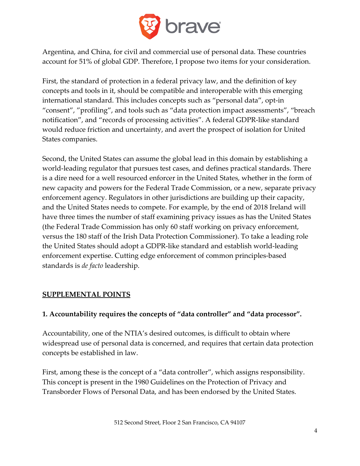

Argentina, and China, for civil and commercial use of personal data. These countries account for 51% of global GDP. Therefore, I propose two items for your consideration.

First, the standard of protection in a federal privacy law, and the definition of key concepts and tools in it, should be compatible and interoperable with this emerging international standard. This includes concepts such as "personal data", opt-in "consent", "profiling", and tools such as "data protection impact assessments", "breach notification", and "records of processing activities". A federal GDPR-like standard would reduce friction and uncertainty, and avert the prospect of isolation for United States companies.

Second, the United States can assume the global lead in this domain by establishing a world-leading regulator that pursues test cases, and defines practical standards. There is a dire need for a well resourced enforcer in the United States, whether in the form of new capacity and powers for the Federal Trade Commission, or a new, separate privacy enforcement agency. Regulators in other jurisdictions are building up their capacity, and the United States needs to compete. For example, by the end of 2018 Ireland will have three times the number of staff examining privacy issues as has the United States (the Federal Trade Commission has only 60 staff working on privacy enforcement, versus the 180 staff of the Irish Data Protection Commissioner). To take a leading role the United States should adopt a GDPR-like standard and establish world-leading enforcement expertise. Cutting edge enforcement of common principles-based standards is *de facto* leadership.

### **SUPPLEMENTAL POINTS**

### **1. Accountability requires the concepts of "data controller" and "data processor".**

Accountability, one of the NTIA's desired outcomes, is difficult to obtain where widespread use of personal data is concerned, and requires that certain data protection concepts be established in law.

First, among these is the concept of a "data controller", which assigns responsibility. This concept is present in the 1980 Guidelines on the Protection of Privacy and Transborder Flows of Personal Data, and has been endorsed by the United States.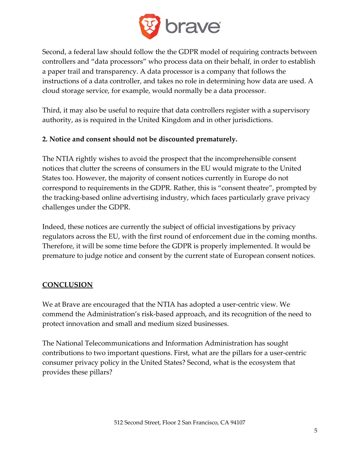

Second, a federal law should follow the the GDPR model of requiring contracts between controllers and "data processors" who process data on their behalf, in order to establish a paper trail and transparency. A data processor is a company that follows the instructions of a data controller, and takes no role in determining how data are used. A cloud storage service, for example, would normally be a data processor.

Third, it may also be useful to require that data controllers register with a supervisory authority, as is required in the United Kingdom and in other jurisdictions.

### **2. Notice and consent should not be discounted prematurely.**

The NTIA rightly wishes to avoid the prospect that the incomprehensible consent notices that clutter the screens of consumers in the EU would migrate to the United States too. However, the majority of consent notices currently in Europe do not correspond to requirements in the GDPR. Rather, this is "consent theatre", prompted by the tracking-based online advertising industry, which faces particularly grave privacy challenges under the GDPR.

Indeed, these notices are currently the subject of official investigations by privacy regulators across the EU, with the first round of enforcement due in the coming months. Therefore, it will be some time before the GDPR is properly implemented. It would be premature to judge notice and consent by the current state of European consent notices.

### **CONCLUSION**

We at Brave are encouraged that the NTIA has adopted a user-centric view. We commend the Administration's risk-based approach, and its recognition of the need to protect innovation and small and medium sized businesses.

The National Telecommunications and Information Administration has sought contributions to two important questions. First, what are the pillars for a user-centric consumer privacy policy in the United States? Second, what is the ecosystem that provides these pillars?